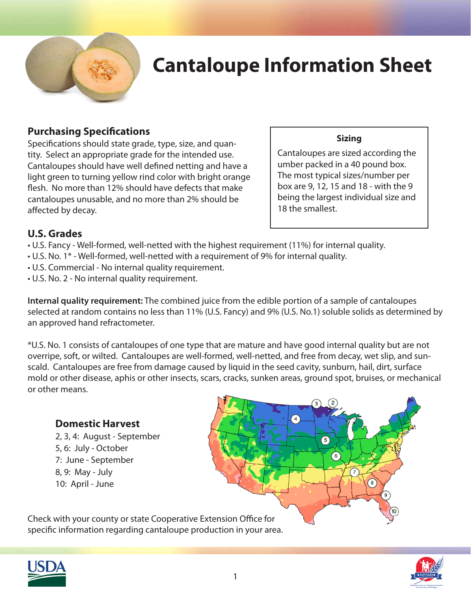

# **Cantaloupe Information Sheet**

#### **Purchasing Specifications**

Specifications should state grade, type, size, and quantity. Select an appropriate grade for the intended use. Cantaloupes should have well defined netting and have a light green to turning yellow rind color with bright orange flesh. No more than 12% should have defects that make cantaloupes unusable, and no more than 2% should be affected by decay.

#### **Sizing**

Cantaloupes are sized according the umber packed in a 40 pound box. The most typical sizes/number per box are 9, 12, 15 and 18 - with the 9 being the largest individual size and 18 the smallest.

### **U.S. Grades**

- U.S. Fancy Well-formed, well-netted with the highest requirement (11%) for internal quality.
- U.S. No. 1\* Well-formed, well-netted with a requirement of 9% for internal quality.
- U.S. Commercial No internal quality requirement.
- U.S. No. 2 No internal quality requirement.

**Internal quality requirement:** The combined juice from the edible portion of a sample of cantaloupes selected at random contains no less than 11% (U.S. Fancy) and 9% (U.S. No.1) soluble solids as determined by an approved hand refractometer.

\*U.S. No. 1 consists of cantaloupes of one type that are mature and have good internal quality but are not overripe, soft, or wilted. Cantaloupes are well-formed, well-netted, and free from decay, wet slip, and sunscald. Cantaloupes are free from damage caused by liquid in the seed cavity, sunburn, hail, dirt, surface mold or other disease, aphis or other insects, scars, cracks, sunken areas, ground spot, bruises, or mechanical or other means.

### **Domestic Harvest**

 2, 3, 4: August - September 5, 6: July - October 7: June - September 8, 9: May - July 10: April - June



Check with your county or state Cooperative Extension Office for specific information regarding cantaloupe production in your area.